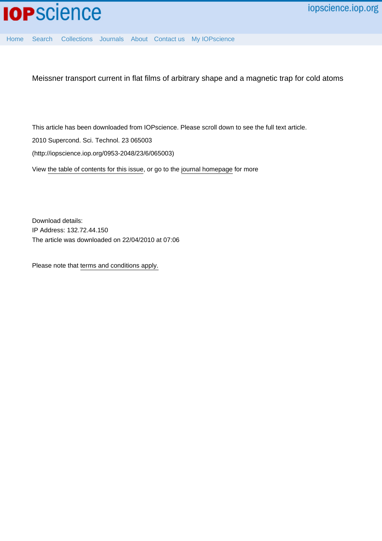

[Home](http://iopscience.iop.org/) [Search](http://iopscience.iop.org/search) [Collections](http://iopscience.iop.org/collections) [Journals](http://iopscience.iop.org/journals) [About](http://iopscience.iop.org/page/aboutioppublishing) [Contact us](http://iopscience.iop.org/contact) [My IOPscience](http://iopscience.iop.org/myiopscience)

Meissner transport current in flat films of arbitrary shape and a magnetic trap for cold atoms

This article has been downloaded from IOPscience. Please scroll down to see the full text article.

2010 Supercond. Sci. Technol. 23 065003

(http://iopscience.iop.org/0953-2048/23/6/065003)

View [the table of contents for this issue](http://iopscience.iop.org/0953-2048/23/6), or go to the [journal homepage](http://iopscience.iop.org/0953-2048) for more

Download details: IP Address: 132.72.44.150 The article was downloaded on 22/04/2010 at 07:06

Please note that [terms and conditions apply.](http://iopscience.iop.org/page/terms)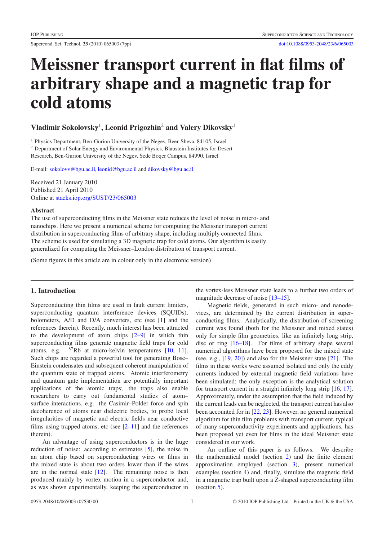# Meissner transport current in flat films of arbitrary shape and a magnetic trap for cold atoms

Vladimir Sokolovsky<sup>1</sup>, Leonid Prigozhin<sup>2</sup> and Valery Dikovsky<sup>1</sup>

<sup>1</sup> Physics Department, Ben-Gurion University of the Negev, Beer-Sheva, 84105, Israel <sup>2</sup> Department of Solar Energy and Environmental Physics, Blaustein Institutes for Desert Research, Ben-Gurion University of the Negev, Sede Boqer Campus, 84990, Israel

E-mail: [sokolovv@bgu.ac.il,](mailto:sokolovv@bgu.ac.il) [leonid@bgu.ac.il](mailto:leonid@bgu.ac.il) and [dikovsky@bgu.ac.il](mailto:dikovsky@bgu.ac.il)

Received 21 January 2010 Published 21 April 2010 Online at [stacks.iop.org/SUST/23/065003](http://stacks.iop.org/SUST/23/065003)

#### Abstract

The use of superconducting films in the Meissner state reduces the level of noise in micro- and nanochips. Here we present a numerical scheme for computing the Meissner transport current distribution in superconducting films of arbitrary shape, including multiply connected films. The scheme is used for simulating a 3D magnetic trap for cold atoms. Our algorithm is easily generalized for computing the Meissner–London distribution of transport current.

(Some figures in this article are in colour only in the electronic version)

## 1. Introduction

Superconducting thin films are used in fault current limiters, superconducting quantum interference devices (SQUIDs), bolometers, A/D and D/A converters, etc (see [\[1\]](#page-6-0) and the references therein). Recently, much interest has been attracted to the development of atom chips [\[2–9\]](#page-6-1) in which thin superconducting films generate magnetic field traps for cold atoms, e.g. 87Rb at micro-kelvin temperatures [\[10,](#page-6-2) [11\]](#page-7-0). Such chips are regarded a powerful tool for generating Bose– Einstein condensates and subsequent coherent manipulation of the quantum state of trapped atoms. Atomic interferometry and quantum gate implementation are potentially important applications of the atomic traps; the traps also enable researchers to carry out fundamental studies of atom– surface interactions, e.g. the Casimir–Polder force and spin decoherence of atoms near dielectric bodies, to probe local irregularities of magnetic and electric fields near conductive films using trapped atoms, etc (see  $[2-11]$  and the references therein).

An advantage of using superconductors is in the huge reduction of noise: according to estimates [\[5\]](#page-6-3), the noise in an atom chip based on superconducting wires or films in the mixed state is about two orders lower than if the wires are in the normal state  $[12]$ . The remaining noise is then produced mainly by vortex motion in a superconductor and, as was shown experimentally, keeping the superconductor in the vortex-less Meissner state leads to a further two orders of magnitude decrease of noise [\[13–15\]](#page-7-2).

Magnetic fields, generated in such micro- and nanodevices, are determined by the current distribution in superconducting films. Analytically, the distribution of screening current was found (both for the Meissner and mixed states) only for simple film geometries, like an infinitely long strip, disc or ring [\[16–18\]](#page-7-3). For films of arbitrary shape several numerical algorithms have been proposed for the mixed state (see, e.g., [\[19,](#page-7-4) [20\]](#page-7-5)) and also for the Meissner state [\[21\]](#page-7-6). The films in these works were assumed isolated and only the eddy currents induced by external magnetic field variations have been simulated; the only exception is the analytical solution for transport current in a straight infinitely long strip [\[16,](#page-7-3) [17\]](#page-7-7). Approximately, under the assumption that the field induced by the current leads can be neglected, the transport current has also been accounted for in [\[22,](#page-7-8) [23\]](#page-7-9). However, no general numerical algorithm for thin film problems with transport current, typical of many superconductivity experiments and applications, has been proposed yet even for films in the ideal Meissner state considered in our work.

An outline of this paper is as follows. We describe the mathematical model (section [2\)](#page-2-0) and the finite element approximation employed (section [3\)](#page-3-0), present numerical examples (section [4\)](#page-4-0) and, finally, simulate the magnetic field in a magnetic trap built upon a Z-shaped superconducting film (section [5\)](#page-4-1).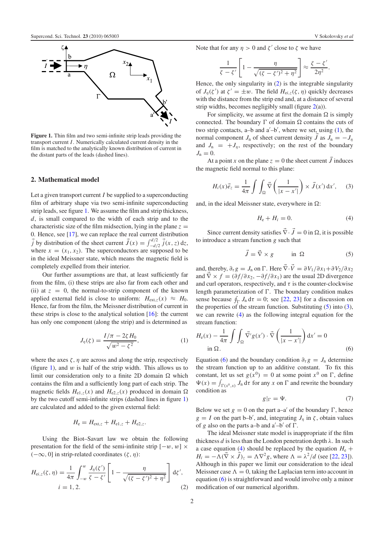<span id="page-2-1"></span>

<span id="page-2-0"></span>Figure 1. Thin film and two semi-infinite strip leads providing the transport current *I*. Numerically calculated current density in the film is matched to the analytically known distribution of current in the distant parts of the leads (dashed lines).

## 2. Mathematical model

Let a given transport current *I* be supplied to a superconducting film of arbitrary shape via two semi-infinite superconducting strip leads, see figure [1.](#page-2-1) We assume the film and strip thickness, *d*, is small compared to the width of each strip and to the characteristic size of the film midsection, lying in the plane  $z =$ 0. Hence, see [\[17\]](#page-7-7), we can replace the real current distribution *j* by distribution of the sheet current  $\vec{J}(x) = \int_{-d/2}^{d/2} \vec{j}(x, z) dz$ , where  $x = (x_1, x_2)$ . The superconductors are supposed to be in the ideal Meissner state, which means the magnetic field is completely expelled from their interior.

Our further assumptions are that, at least sufficiently far from the film, (i) these strips are also far from each other and (ii) at  $z = 0$ , the normal-to-strip component of the known applied external field is close to uniform:  $H_{ext,z}(x) \approx H_0$ . Hence, far from the film, the Meissner distribution of current in these strips is close to the analytical solution  $[16]$ : the current has only one component (along the strip) and is determined as

<span id="page-2-3"></span>
$$
J_{\eta}(\zeta) = \frac{I/\pi - 2\zeta H_0}{\sqrt{w^2 - \zeta^2}},
$$
 (1)

where the axes  $\zeta$ ,  $\eta$  are across and along the strip, respectively (figure [1\)](#page-2-1), and  $w$  is half of the strip width. This allows us to limit our consideration only to a finite 2D domain  $\Omega$  which contains the film and a sufficiently long part of each strip. The magnetic fields  $H_{e1,z}(x)$  and  $H_{e2,z}(x)$  produced in domain  $\Omega$ by the two cutoff semi-infinite strips (dashed lines in figure [1\)](#page-2-1) are calculated and added to the given external field:

$$
H_{\rm e}=H_{\rm ext,z}+H_{\rm e1,z}+H_{\rm e2,z}.
$$

<span id="page-2-2"></span>Using the Biot–Savart law we obtain the following presentation for the field of the semi-infinite strip  $[-w, w] \times$  $(-\infty, 0]$  in strip-related coordinates  $(\zeta, \eta)$ :

$$
H_{\text{ei},z}(\zeta,\eta) = \frac{1}{4\pi} \int_{-\omega}^{\omega} \frac{J_{\eta}(\zeta')}{\zeta - \zeta'} \left[1 - \frac{\eta}{\sqrt{(\zeta - \zeta')^2 + \eta^2}}\right] d\zeta',
$$
  
  $i = 1, 2.$  (2)

Note that for any 
$$
\eta > 0
$$
 and  $\zeta'$  close to  $\zeta$  we have

$$
\frac{1}{\zeta - \zeta'} \left[ 1 - \frac{\eta}{\sqrt{(\zeta - \zeta')^2 + \eta^2}} \right] \approx \frac{\zeta - \zeta'}{2\eta^2}.
$$

Hence, the only singularity in [\(2\)](#page-2-2) is the integrable singularity of  $J_{\eta}(\zeta')$  at  $\zeta' = \pm w$ . The field  $H_{\text{ei},z}(\zeta, \eta)$  quickly decreases with the distance from the strip end and, at a distance of several strip widths, becomes negligibly small (figure  $2(a)$  $2(a)$ ).

For simplicity, we assume at first the domain  $\Omega$  is simply connected. The boundary  $\Gamma$  of domain  $\Omega$  contains the cuts of two strip contacts,  $a-b$  and  $a'-b'$ , where we set, using  $(1)$ , the normal component *J*<sub>n</sub> of sheet current density  $\vec{J}$  as  $J_n = -J_n$ and  $J_n = +J_n$ , respectively; on the rest of the boundary  $J_n = 0$ .

<span id="page-2-5"></span>At a point *x* on the plane  $z = 0$  the sheet current  $\vec{J}$  induces the magnetic field normal to this plane:

<span id="page-2-6"></span>
$$
H_i(x)\vec{e}_z = \frac{1}{4\pi} \int \int_{\Omega} \vec{\nabla} \left( \frac{1}{|x - x'|} \right) \times \vec{J}(x') \, dx', \quad (3)
$$

and, in the ideal Meissner state, everywhere in  $\Omega$ :

<span id="page-2-4"></span>
$$
H_{\rm e} + H_i = 0. \tag{4}
$$

Since current density satisfies  $\vec{\nabla} \cdot \vec{J} = 0$  in  $\Omega$ , it is possible to introduce a stream function *g* such that

$$
\vec{J} = \vec{\nabla} \times g \qquad \text{in } \Omega \tag{5}
$$

<span id="page-2-7"></span>and, thereby,  $\partial_{\tau} g = J_n$  on  $\Gamma$ . Here  $\vec{\nabla} \cdot \vec{V} = \partial V_1 / \partial x_1 + \partial V_2 / \partial x_2$ and  $\vec{\nabla} \times f = (\partial f / \partial x_2, -\partial f / \partial x_1)$  are the usual 2D divergence and curl operators, respectively, and  $\tau$  is the counter-clockwise length parameterization of  $\Gamma$ . The boundary condition makes sense because  $\oint_{\Gamma} J_n d\tau = 0$ ; see [\[22,](#page-7-8) [23\]](#page-7-9) for a discussion on the properties of the stream function. Substituting  $(5)$  into  $(3)$ , we can rewrite [\(4\)](#page-2-6) as the following integral equation for the stream function:

$$
H_e(x) - \frac{1}{4\pi} \int \int_{\Omega} \vec{\nabla'} g(x') \cdot \vec{\nabla} \left( \frac{1}{|x - x'|} \right) dx' = 0
$$
  
in  $\Omega$ . (6)

Equation [\(6\)](#page-2-7) and the boundary condition  $\partial_{\tau} g = J_n$  determine the stream function up to an additive constant. To fix this constant, let us set  $g(x^0) = 0$  at some point  $x^0$  on  $\Gamma$ , define  $\Psi(x) = \int_{\Gamma(x^0, x)} J_n d\tau$  for any *x* on  $\Gamma$  and rewrite the boundary condition as

<span id="page-2-8"></span>
$$
g|_{\Gamma} = \Psi. \tag{7}
$$

Below we set  $g = 0$  on the part a–a' of the boundary  $\Gamma$ , hence  $g = I$  on the part b–b', and, integrating  $J_{\eta}$  in  $\zeta$ , obtain values of  $g$  also on the parts a-b and  $a'$ -b' of  $\Gamma$ .

The ideal Meissner state model is inappropriate if the film thickness  $d$  is less than the London penetration depth  $\lambda$ . In such a case equation [\(4\)](#page-2-6) should be replaced by the equation  $H<sub>e</sub>$  +  $H_i = -\Lambda (\vec{\nabla} \times \vec{J})_z = \Lambda \nabla^2 g$ , where  $\Lambda = \lambda^2/d$  (see [\[22,](#page-7-8) [23\]](#page-7-9)). Although in this paper we limit our consideration to the ideal Meissner case  $\Lambda = 0$ , taking the Laplacian term into account in equation [\(6\)](#page-2-7) is straightforward and would involve only a minor modification of our numerical algorithm.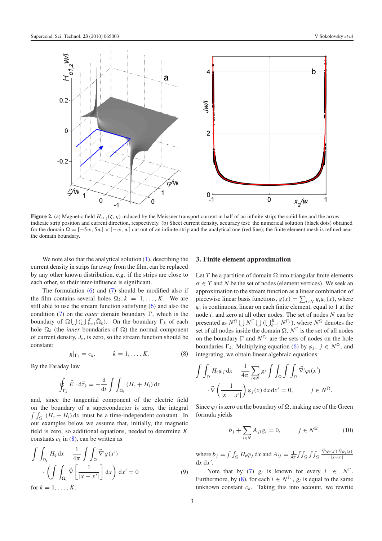<span id="page-3-1"></span>

**Figure 2.** (a) Magnetic field  $H_{e1,z}(\zeta, \eta)$  induced by the Meissner transport current in half of an infinite strip; the solid line and the arrow indicate strip position and current direction, respectively. (b) Sheet current density, accuracy test: the numerical solution (black dots) obtained for the domain  $\Omega = [-5w, 5w] \times [-w, w]$  cut out of an infinite strip and the analytical one (red line); the finite element mesh is refined near the domain boundary.

We note also that the analytical solution  $(1)$ , describing the current density in strips far away from the film, can be replaced by any other known distribution, e.g. if the strips are close to each other, so their inter-influence is significant.

<span id="page-3-2"></span>The formulation  $(6)$  and  $(7)$  should be modified also if the film contains several holes  $\Omega_k$ ,  $k = 1, \ldots, K$ . We are still able to use the stream function satisfying [\(6\)](#page-2-7) and also the condition  $(7)$  on the *outer* domain boundary  $\Gamma$ , which is the boundary of  $\Omega \bigcup (\bigcup_{k=1}^K \overline{\Omega}_k)$ . On the boundary  $\Gamma_k$  of each hole  $\Omega_k$  (the *inner* boundaries of  $\Omega$ ) the normal component of current density,  $J_n$ , is zero, so the stream function should be constant:

$$
g|_{\Gamma_k} = c_k, \qquad k = 1, \dots, K. \tag{8}
$$

By the Faraday law

$$
\oint_{\Gamma_k} \vec{E} \cdot d\vec{\tau}_k = -\frac{d}{dt} \int \int_{\Omega_k} (H_e + H_i) dx
$$

<span id="page-3-4"></span>and, since the tangential component of the electric field on the boundary of a superconductor is zero, the integral  $\int \int_{\Omega_i} (H_e + H_i) dx$  must be a time-independent constant. In our examples below we assume that, initially, the magnetic field is zero, so additional equations, needed to determine *K* constants  $c_k$  in [\(8\)](#page-3-2), can be written as

$$
\int \int_{\Omega_k} H_e \, dx - \frac{1}{4\pi} \int \int_{\Omega} \vec{\nabla}' g(x') \cdot \left( \int \int_{\Omega_k} \vec{\nabla} \left[ \frac{1}{|x - x'|} \right] dx \right) dx' = 0 \tag{9}
$$
\n
$$
\text{for } k = 1, \dots, K.
$$

<span id="page-3-0"></span>3. Finite element approximation

Let *T* be a partition of domain  $\Omega$  into triangular finite elements  $\sigma \in T$  and N be the set of nodes (element vertices). We seek an approximation to the stream function as a linear combination of piecewise linear basis functions,  $g(x) = \sum_{i \in N} g_i \varphi_i(x)$ , where  $\varphi$ <sub>*i*</sub> is continuous, linear on each finite element, equal to 1 at the node *i*, and zero at all other nodes. The set of nodes *N* can be presented as  $N^{\Omega} \bigcup N^{\Gamma} \bigcup (\bigcup_{k=1}^{K} N^{\Gamma_k})$ , where  $N^{\Omega}$  denotes the set of all nodes inside the domain  $\Omega$ ,  $N^{\Gamma}$  is the set of all nodes on the boundary  $\Gamma$  and  $N^{\Gamma_k}$  are the sets of nodes on the hole boundaries  $\Gamma_k$ . Multiplying equation [\(6\)](#page-2-7) by  $\varphi_j$ ,  $j \in N^{\Omega}$ , and integrating, we obtain linear algebraic equations:

<span id="page-3-3"></span>
$$
\int \int_{\Omega} H_{e} \varphi_{j} dx - \frac{1}{4\pi} \sum_{i \in N} g_{i} \int \int_{\Omega} \int \int_{\Omega} \vec{\nabla}^{\prime} \varphi_{i}(x^{\prime})
$$

$$
\cdot \vec{\nabla} \left( \frac{1}{|x - x^{\prime}|} \right) \varphi_{j}(x) dx dx^{\prime} = 0, \qquad j \in N^{\Omega}.
$$

Since  $\varphi_i$  is zero on the boundary of  $\Omega$ , making use of the Green formula yields

$$
b_j + \sum_{i \in N} A_{ji} g_i = 0, \qquad j \in N^{\Omega}, \tag{10}
$$

where  $b_j = \int \int_{\Omega} H_e \varphi_j \, dx$  and  $A_{ij} = \frac{1}{4\pi} \int \int_{\Omega} \int \int_{\Omega}$  $\frac{\vec{\nabla}'\varphi_i(x')\cdot \vec{\nabla}\varphi_j(x)}{|x-x'|}$  $dx dx'$ .

Note that by [\(7\)](#page-2-8)  $g_i$  is known for every  $i \in N^{\Gamma}$ . Furthermore, by [\(8\)](#page-3-2), for each  $i \in N^{\Gamma_k}$ ,  $g_i$  is equal to the same unknown constant  $c_k$ . Taking this into account, we rewrite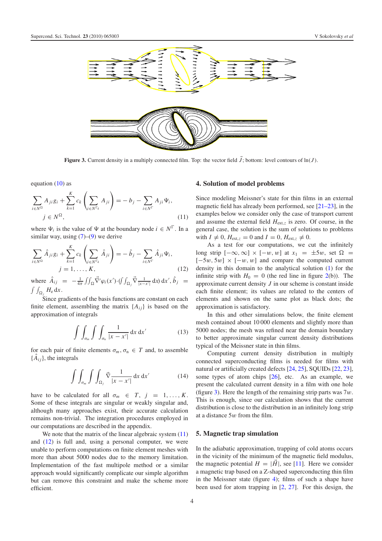<span id="page-4-4"></span>

<span id="page-4-2"></span>Figure 3. Current density in a multiply connected film. Top: the vector field  $\vec{J}$ ; bottom: level contours of  $\ln(J)$ .

equation  $(10)$  as

<span id="page-4-3"></span>
$$
\sum_{i \in N^{\Omega}} A_{ji} g_i + \sum_{k=1}^{K} c_k \left( \sum_{i \in N^{\Gamma_k}} A_{ji} \right) = -b_j - \sum_{i \in N^{\Gamma}} A_{ji} \Psi_i,
$$
\n
$$
j \in N^{\Omega}, \tag{11}
$$

where  $\Psi_i$  is the value of  $\Psi$  at the boundary node  $i \in N^{\Gamma}$ . In a similar way, using  $(7)-(9)$  $(7)-(9)$  $(7)-(9)$  we derive

$$
\sum_{i \in N^{\Omega}} \hat{A}_{ji} g_i + \sum_{k=1}^{K} c_k \left( \sum_{i \in N^{\Gamma_k}} \hat{A}_{ji} \right) = -\hat{b}_j - \sum_{i \in N^{\Gamma}} \hat{A}_{ji} \Psi_i,
$$
  
\n $j = 1, ..., K,$  (12)

where  $\hat{A}_{ij} = -\frac{1}{4\pi} \iint_{\Omega} \vec{\nabla}' \varphi_i(x') \cdot (\iint_{\Omega_j} \vec{\nabla} \frac{1}{|x - x'|} dx) dx', \hat{b}_j =$  $\int\int_{\Omega_j} H_e \, dx$ .

Since gradients of the basis functions are constant on each finite element, assembling the matrix  ${A_{ij}}$  is based on the approximation of integrals

<span id="page-4-6"></span><span id="page-4-5"></span>
$$
\int \int_{\sigma_m} \int \int_{\sigma_n} \frac{1}{|x - x'|} \, \mathrm{d}x \, \mathrm{d}x' \tag{13}
$$

for each pair of finite elements  $\sigma_m$ ,  $\sigma_n \in T$  and, to assemble  ${A_{ij}}$ , the integrals

$$
\int \int_{\sigma_m} \int \int_{\Omega_j} \vec{\nabla} \frac{1}{|x - x'|} \, \mathrm{d}x \, \mathrm{d}x' \tag{14}
$$

have to be calculated for all  $\sigma_m \in T$ ,  $j = 1, ..., K$ . Some of these integrals are singular or weakly singular and, although many approaches exist, their accurate calculation remains non-trivial. The integration procedures employed in our computations are described in the appendix.

We note that the matrix of the linear algebraic system  $(11)$ and [\(12\)](#page-4-3) is full and, using a personal computer, we were unable to perform computations on finite element meshes with more than about 5000 nodes due to the memory limitation. Implementation of the fast multipole method or a similar approach would significantly complicate our simple algorithm but can remove this constraint and make the scheme more efficient.

#### <span id="page-4-0"></span>4. Solution of model problems

Since modeling Meissner's state for thin films in an external magnetic field has already been performed, see [\[21–23\]](#page-7-6), in the examples below we consider only the case of transport current and assume the external field  $H_{\text{ext},z}$  is zero. Of course, in the general case, the solution is the sum of solutions to problems with  $I \neq 0$ ,  $H_{ext,z} = 0$  and  $I = 0$ ,  $H_{ext,z} \neq 0$ .

As a test for our computations, we cut the infinitely long strip  $[-\infty, \infty] \times [-w, w]$  at  $x_1 = \pm 5w$ , set  $\Omega$  =  $[-5w, 5w] \times [-w, w]$  and compare the computed current density in this domain to the analytical solution [\(1\)](#page-2-3) for the infinite strip with  $H_0 = 0$  (the red line in figure [2\(](#page-3-1)b)). The approximate current density *J* in our scheme is constant inside each finite element; its values are related to the centers of elements and shown on the same plot as black dots; the approximation is satisfactory.

In this and other simulations below, the finite element mesh contained about 10 000 elements and slightly more than 5000 nodes; the mesh was refined near the domain boundary to better approximate singular current density distributions typical of the Meissner state in thin films.

Computing current density distribution in multiply connected superconducting films is needed for films with natural or artificially created defects [\[24,](#page-7-10) [25\]](#page-7-11), SQUIDs [\[22,](#page-7-8) [23\]](#page-7-9), some types of atom chips [\[26\]](#page-7-12), etc. As an example, we present the calculated current density in a film with one hole (figure [3\)](#page-4-4). Here the length of the remaining strip parts was  $7w$ . This is enough, since our calculation shows that the current distribution is close to the distribution in an infinitely long strip at a distance  $5w$  from the film.

## <span id="page-4-1"></span>5. Magnetic trap simulation

In the adiabatic approximation, trapping of cold atoms occurs in the vicinity of the minimum of the magnetic field modulus, the magnetic potential  $H = |\vec{H}|$ , see [\[11\]](#page-7-0). Here we consider a magnetic trap based on a Z-shaped superconducting thin film in the Meissner state (figure [4\)](#page-5-0); films of such a shape have been used for atom trapping in [\[2,](#page-6-1) [27\]](#page-7-13). For this design, the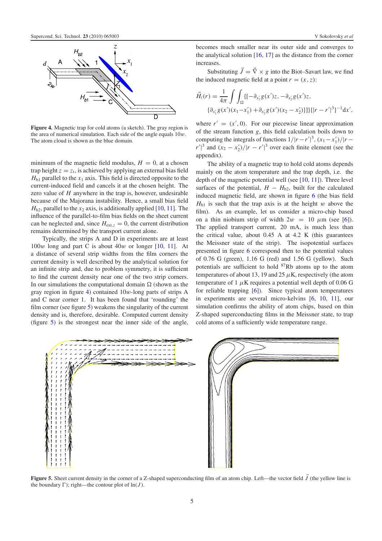<span id="page-5-0"></span>

Figure 4. Magnetic trap for cold atoms (a sketch). The gray region is the area of numerical simulation. Each side of the angle equals  $10w$ . The atom cloud is shown as the blue domain.

minimum of the magnetic field modulus,  $H = 0$ , at a chosen trap height  $z = z_t$ , is achieved by applying an external bias field  $H<sub>b1</sub>$  parallel to the  $x<sub>1</sub>$  axis. This field is directed opposite to the current-induced field and cancels it at the chosen height. The zero value of *H* anywhere in the trap is, however, undesirable because of the Majorana instability. Hence, a small bias field  $H<sub>b2</sub>$ , parallel to the  $x<sub>2</sub>$  axis, is additionally applied [\[10,](#page-6-2) [11\]](#page-7-0). The influence of the parallel-to-film bias fields on the sheet current can be neglected and, since  $H_{ext,z} = 0$ , the current distribution remains determined by the transport current alone.

Typically, the strips A and D in experiments are at least  $100w$  long and part C is about  $40w$  or longer [\[10,](#page-6-2) [11\]](#page-7-0). At a distance of several strip widths from the film corners the current density is well described by the analytical solution for an infinite strip and, due to problem symmetry, it is sufficient to find the current density near one of the two strip corners. In our simulations the computational domain  $\Omega$  (shown as the gray region in figure [4\)](#page-5-0) contained  $10w$ -long parts of strips A and C near corner 1. It has been found that 'rounding' the film corner (see figure [5\)](#page-5-1) weakens the singularity of the current density and is, therefore, desirable. Computed current density (figure [5\)](#page-5-1) is the strongest near the inner side of the angle, becomes much smaller near its outer side and converges to the analytical solution  $[16, 17]$  $[16, 17]$  $[16, 17]$  as the distance from the corner increases.

Substituting  $\vec{J} = \vec{\nabla} \times g$  into the Biot–Savart law, we find the induced magnetic field at a point  $r = (x, z)$ :

$$
\vec{H}_i(r) = \frac{1}{4\pi} \int \int_{\Omega} \{ [-\partial_{x'_1} g(x')z, -\partial_{x'_2} g(x')z, \ \{\partial_{x'_1} g(x')(x_1 - x'_1) + \partial_{x'_2} g(x')(x_2 - x'_2)\}]\} \{ |r - r'|^3 \}^{-1} dx',
$$

where  $r' = (x', 0)$ . For our piecewise linear approximation of the stream function *g*, this field calculation boils down to computing the integrals of functions  $1/|r-r'|^3$ ,  $(x_1 - x'_1)/|r - r'|^3$  $r'|^3$  and  $(x_2 - x'_2)/|r - r'|^3$  over each finite element (see the appendix).

The ability of a magnetic trap to hold cold atoms depends mainly on the atom temperature and the trap depth, i.e. the depth of the magnetic potential well (see [\[10,](#page-6-2) [11\]](#page-7-0)). Three level surfaces of the potential,  $H - H_{b2}$ , built for the calculated induced magnetic field, are shown in figure [6](#page-6-4) (the bias field  $H_{b1}$  is such that the trap axis is at the height w above the film). As an example, let us consider a micro-chip based on a thin niobium strip of width  $2w = 10 \mu m$  (see [\[6\]](#page-6-5)). The applied transport current, 20 mA, is much less than the critical value, about 0.45 A at 4.2 K (this guarantees the Meissner state of the strip). The isopotential surfaces presented in figure [6](#page-6-4) correspond then to the potential values of 0.76 G (green), 1.16 G (red) and 1.56 G (yellow). Such potentials are sufficient to hold  ${}^{87}Rb$  atoms up to the atom temperatures of about 13, 19 and 25  $\mu$ K, respectively (the atom temperature of 1  $\mu$ K requires a potential well depth of 0.06 G for reliable trapping [\[6\]](#page-6-5)). Since typical atom temperatures in experiments are several micro-kelvins [\[6,](#page-6-5) [10,](#page-6-2) [11\]](#page-7-0), our simulation confirms the ability of atom chips, based on thin Z-shaped superconducting films in the Meissner state, to trap cold atoms of a sufficiently wide temperature range.

<span id="page-5-1"></span>

Figure 5. Sheet current density in the corner of a Z-shaped superconducting film of an atom chip. Left—the vector field  $\vec{J}$  (the yellow line is the boundary  $\Gamma$ ); right—the contour plot of  $\ln(J)$ .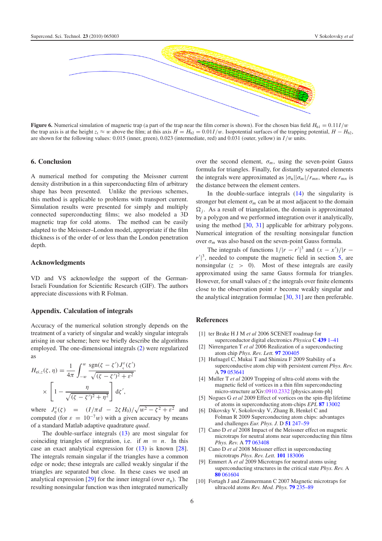<span id="page-6-4"></span>

**Figure 6.** Numerical simulation of magnetic trap (a part of the trap near the film corner is shown). For the chosen bias field  $H_{b1} = 0.11I/w$ the trap axis is at the height  $z_1 \approx w$  above the film; at this axis  $H = H_{b2} = 0.01$ *I*/w. Isopotential surfaces of the trapping potential,  $H - H_{b2}$ , are shown for the following values: 0.015 (inner, green), 0.023 (intermediate, red) and 0.031 (outer, yellow) in *I*/w units.

#### 6. Conclusion

A numerical method for computing the Meissner current density distribution in a thin superconducting film of arbitrary shape has been presented. Unlike the previous schemes, this method is applicable to problems with transport current. Simulation results were presented for simply and multiply connected superconducting films; we also modeled a 3D magnetic trap for cold atoms. The method can be easily adapted to the Meissner–London model, appropriate if the film thickness is of the order of or less than the London penetration depth.

## Acknowledgments

VD and VS acknowledge the support of the German-Israeli Foundation for Scientific Research (GIF). The authors appreciate discussions with R Folman.

### Appendix. Calculation of integrals

Accuracy of the numerical solution strongly depends on the treatment of a variety of singular and weakly singular integrals arising in our scheme; here we briefly describe the algorithms employed. The one-dimensional integrals [\(2\)](#page-2-2) were regularized as

$$
H_{\text{ei},z}(\zeta,\,\eta) = \frac{1}{4\pi} \int_{-\omega}^{\omega} \frac{\text{sgn}(\zeta - \zeta') J_{\eta}^{\varepsilon}(\zeta')}{\sqrt{(\zeta - \zeta')^2 + \varepsilon^2}} \times \left[1 - \frac{\eta}{\sqrt{(\zeta - \zeta')^2 + \eta^2}}\right] \mathrm{d}\zeta',
$$

where  $J_{\eta}^{\varepsilon}(\zeta) = (I/\pi d - 2\zeta H_0)/\sqrt{w^2 - \zeta^2 + \varepsilon^2}$  and computed (for  $\varepsilon = 10^{-7}w$ ) with a given accuracy by means of a standard Matlab adaptive quadrature *quad*.

The double-surface integrals [\(13\)](#page-4-5) are most singular for coinciding triangles of integration, i.e. if  $m = n$ . In this case an exact analytical expression for [\(13\)](#page-4-5) is known [\[28\]](#page-7-14). The integrals remain singular if the triangles have a common edge or node; these integrals are called weakly singular if the triangles are separated but close. In these cases we used an analytical expression [\[29\]](#page-7-15) for the inner integral (over  $\sigma_n$ ). The resulting nonsingular function was then integrated numerically over the second element,  $\sigma_m$ , using the seven-point Gauss formula for triangles. Finally, for distantly separated elements the integrals were approximated as  $|\sigma_n||\sigma_m|/r_{mn}$ , where  $r_{mn}$  is the distance between the element centers.

In the double-surface integrals [\(14\)](#page-4-6) the singularity is stronger but element  $\sigma_m$  can be at most adjacent to the domain  $\Omega_i$ . As a result of triangulation, the domain is approximated by a polygon and we performed integration over it analytically, using the method [\[30,](#page-7-16) [31\]](#page-7-17) applicable for arbitrary polygons. Numerical integration of the resulting nonsingular function over  $\sigma_m$  was also based on the seven-point Gauss formula.

The integrals of functions  $1/|r - r'|^3$  and  $(x - x')/|r - r'|^2$  $r'$ <sup>3</sup>, needed to compute the magnetic field in section [5,](#page-4-1) are nonsingular  $(z > 0)$ . Most of these integrals are easily approximated using the same Gauss formula for triangles. However, for small values of *z* the integrals over finite elements close to the observation point *r* become weakly singular and the analytical integration formulae  $[30, 31]$  $[30, 31]$  $[30, 31]$  are then preferable.

# <span id="page-6-1"></span><span id="page-6-0"></span>References

- [1] ter Brake H J M *et al* 2006 SCENET roadmap for superconductor digital electronics *Physica* C 439 [1–41](http://dx.doi.org/10.1016/j.physc.2005.10.017)
- <span id="page-6-3"></span>[2] Nirrengarten T *et al* 2006 Realization of a superconducting atom chip *Phys. Rev. Lett.* 97 [200405](http://dx.doi.org/10.1103/PhysRevLett.97.200405)
- <span id="page-6-5"></span>[3] Hufnagel C, Mukai T and Shimizu F 2009 Stability of a superconductive atom chip with persistent current *Phys. Rev.* A 79 [053641](http://dx.doi.org/10.1103/PhysRevA.79.053641)
- [4] Muller T *et al* 2009 Trapping of ultra-cold atoms with the magnetic field of vortices in a thin film superconducting micro-structure arXiv[:0910.2332](http://arxiv.org/abs/0910.2332) [physics.atom-ph]
- [5] Nogues G *et al* 2009 Effect of vortices on the spin-flip lifetime of atoms in superconducting atom-chips *EPL* 87 [13002](http://dx.doi.org/10.1209/0295-5075/87/13002)
- [6] Dikovsky V, Sokolovsky V, Zhang B, Henkel C and Folman R 2009 Superconducting atom chips: advantages and challenges *Eur. Phys. J.* D 51 [247–59](http://dx.doi.org/10.1140/epjd/e2008-00261-5)
- <span id="page-6-2"></span>[7] Cano D *et al* 2008 Impact of the Meissner effect on magnetic microtraps for neutral atoms near superconducting thin films *Phys. Rev.* A 77 [063408](http://dx.doi.org/10.1103/PhysRevA.77.063408)
- [8] Cano D *et al* 2008 Meissner effect in superconducting microtraps *Phys. Rev. Lett.* 101 [183006](http://dx.doi.org/10.1103/PhysRevLett.101.183006)
- [9] Emmert A *et al* 2009 Microtraps for neutral atoms using superconducting structures in the critical state *Phys. Rev.* A 80 [061604](http://dx.doi.org/10.1103/PhysRevA.80.061604)
- [10] Fortagh J and Zimmermann C 2007 Magnetic microtraps for ultracold atoms *Rev. Mod. Phys.* 79 [235–89](http://dx.doi.org/10.1103/RevModPhys.79.235)